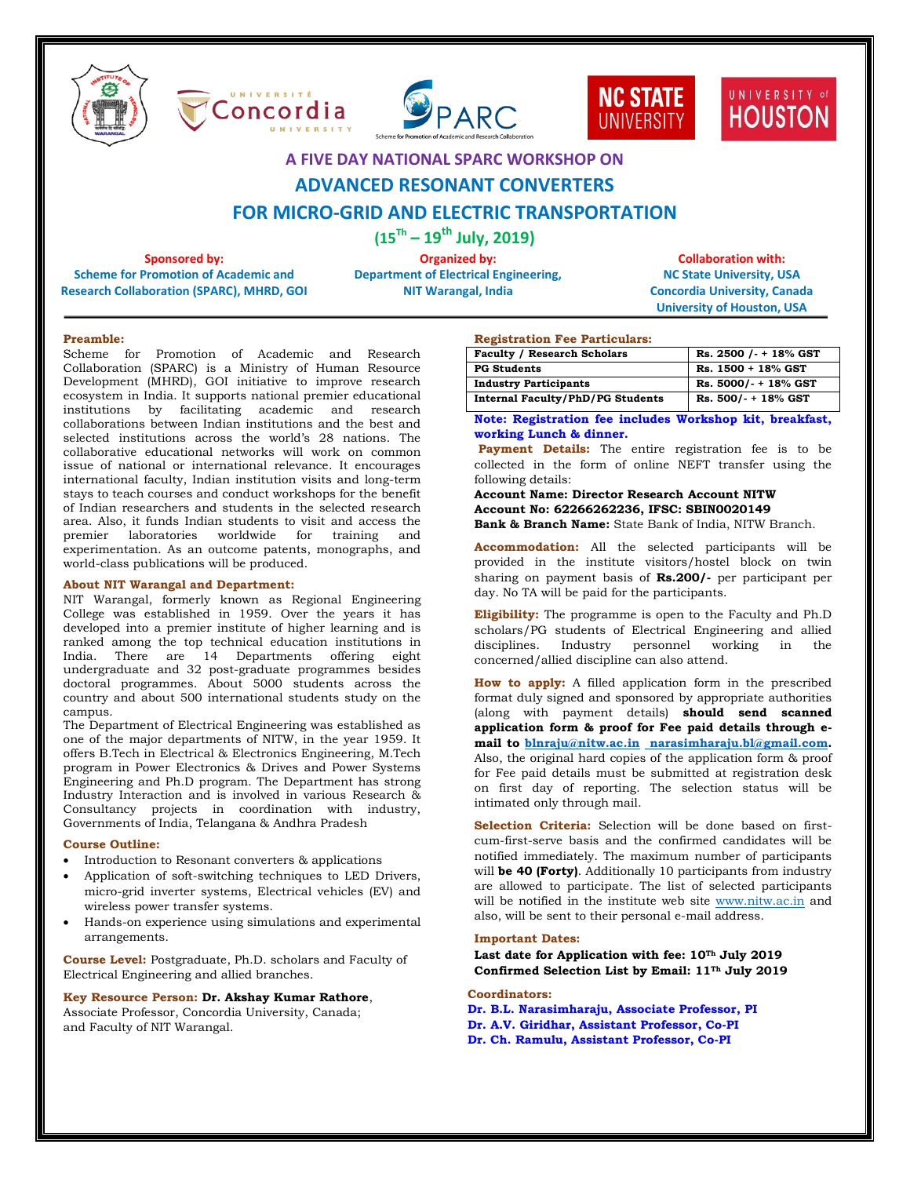









## **A FIVE DAY NATIONAL SPARC WORKSHOP ON**

# **ADVANCED RESONANT CONVERTERS**

# **FOR MICRO-GRID AND ELECTRIC TRANSPORTATION**

**(15Th – 19 th July, 2019)**

**Sponsored by: Scheme for Promotion of Academic and Research Collaboration (SPARC), MHRD, GOI**

**Organized by: Department of Electrical Engineering, NIT Warangal, India** 

**Collaboration with: NC State University, USA Concordia University, Canada University of Houston, USA**

#### **Preamble:**

Scheme for Promotion of Academic and Research Collaboration (SPARC) is a Ministry of Human Resource Development (MHRD), GOI initiative to improve research ecosystem in India. It supports national premier educational institutions by facilitating academic and research collaborations between Indian institutions and the best and selected institutions across the world's 28 nations. The collaborative educational networks will work on common issue of national or international relevance. It encourages international faculty, Indian institution visits and long-term stays to teach courses and conduct workshops for the benefit of Indian researchers and students in the selected research area. Also, it funds Indian students to visit and access the premier laboratories worldwide for training and experimentation. As an outcome patents, monographs, and world-class publications will be produced.

#### **About NIT Warangal and Department:**

NIT Warangal, formerly known as Regional Engineering College was established in 1959. Over the years it has developed into a premier institute of higher learning and is ranked among the top technical education institutions in India. There are 14 Departments offering eight undergraduate and 32 post-graduate programmes besides doctoral programmes. About 5000 students across the country and about 500 international students study on the campus.

The Department of Electrical Engineering was established as one of the major departments of NITW, in the year 1959. It offers B.Tech in Electrical & Electronics Engineering, M.Tech program in Power Electronics & Drives and Power Systems Engineering and Ph.D program. The Department has strong Industry Interaction and is involved in various Research & Consultancy projects in coordination with industry, Governments of India, Telangana & Andhra Pradesh

#### **Course Outline:**

- Introduction to Resonant converters & applications
- Application of soft-switching techniques to LED Drivers, micro-grid inverter systems, Electrical vehicles (EV) and wireless power transfer systems.
- Hands-on experience using simulations and experimental arrangements.

**Course Level:** Postgraduate, Ph.D. scholars and Faculty of Electrical Engineering and allied branches.

### **Key Resource Person: Dr. Akshay Kumar Rathore**,

Associate Professor, Concordia University, Canada; and Faculty of NIT Warangal.

#### **Registration Fee Particulars:**

| <b>Faculty / Research Scholars</b>      | Rs. 2500 / - + 18% GST  |
|-----------------------------------------|-------------------------|
| <b>PG Students</b>                      | Rs. 1500 + 18% GST      |
| <b>Industry Participants</b>            | $Rs. 5000/- + 18\% GST$ |
| <b>Internal Faculty/PhD/PG Students</b> | $Rs. 500/- + 18\% GST$  |

**Note: Registration fee includes Workshop kit, breakfast, working Lunch & dinner.**

Payment Details: The entire registration fee is to be collected in the form of online NEFT transfer using the following details:

**Account Name: Director Research Account NITW Account No: 62266262236, IFSC: SBIN0020149 Bank & Branch Name:** State Bank of India, NITW Branch.

**Accommodation:** All the selected participants will be provided in the institute visitors/hostel block on twin sharing on payment basis of **Rs.200/-** per participant per day. No TA will be paid for the participants.

**Eligibility:** The programme is open to the Faculty and Ph.D scholars/PG students of Electrical Engineering and allied disciplines. Industry personnel working in concerned/allied discipline can also attend.

**How to apply:** A filled application form in the prescribed format duly signed and sponsored by appropriate authorities (along with payment details) **should send scanned application form & proof for Fee paid details through email to [blnraju@nitw.ac.in](mailto:blnraju@nitw.ac.in) [narasimharaju.bl@gmail.com.](mailto:%20narasimharaju.bl@gmail.com)** Also, the original hard copies of the application form & proof for Fee paid details must be submitted at registration desk on first day of reporting. The selection status will be intimated only through mail.

**Selection Criteria:** Selection will be done based on firstcum-first-serve basis and the confirmed candidates will be notified immediately. The maximum number of participants will **be 40 (Forty)**. Additionally 10 participants from industry are allowed to participate. The list of selected participants will be notified in the institute web site [www.nitw.ac.in](http://www.nitw.ac.in/) and also, will be sent to their personal e-mail address.

#### **Important Dates:**

**Last date for Application with fee: 10Th July 2019 Confirmed Selection List by Email: 11Th July 2019**

**Coordinators:**

**Dr. B.L. Narasimharaju, Associate Professor, PI Dr. A.V. Giridhar, Assistant Professor, Co-PI Dr. Ch. Ramulu, Assistant Professor, Co-PI**